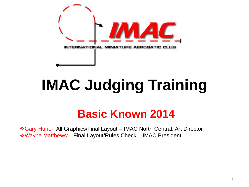

# IMAC Judging Training **IMAC Judging Training**

## **Basic Known 2014**

Gary Hunt:- All Graphics/Final Layout – IMAC North Central, Art Director Wayne Matthews:- Final Layout/Rules Check – IMAC President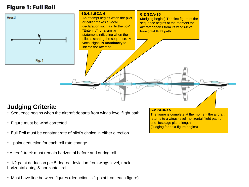#### **Figure 1: Full Roll**



### **Judging Criteria:**

- Sequence begins when the aircraft departs from wings level flight path
- Figure must be wind corrected
- Full Roll must be constant rate of pilot's choice in either direction
- 1 point deduction for each roll rate change
- Aircraft track must remain horizontal before and during roll
- 1/2 point deduction per 5 degree deviation from wings level, track, horizontal entry, & horizontal exit
- Must have line between figures (deduction is 1 point from each figure)

#### 6.2 SCA-15

The figure is complete at the moment the aircraft returns to a wings-level, horizontal flight path of one fuselage plane length. (Judging for next figure begins)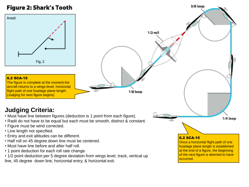#### Figure 2: Shark's Tooth

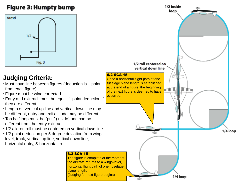#### Figure 3: Humpty bump



### **Judging Criteria:**

- Must have line between figures (deduction is 1 point from each figure).
- •Figure must be wind corrected.
- •Entry and exit radii must be equal, 1 point deduction if they are different.
- Length of vertical up line and vertical down line may be different, entry and exit altitude may be different.
- •Top half loop must be "pull" (inside) and can be different from the entry exit radii.
- 1/2 aileron roll must be centered on vertical down line.
- 1/2 point deduction per 5 degree deviation from wings level, track, vertical up line, vertical down line, horizontal entry, & horizontal exit.

#### 6.2 SCA-15

The figure is complete at the moment the aircraft returns to a wings-level, horizontal flight path of one fuselage plane length. (Judging for next figure begins)

occurred.

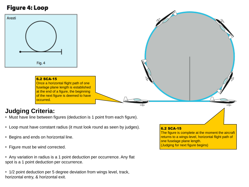#### Figure 4: Loop



#### 6.2 SCA-15

Once a horizontal flight path of one fuselage plane length is established at the end of a figure, the beginning of the next figure is deemed to have occurred.

### **Judging Criteria:**

• Must have line between figures (deduction is 1 point from each figure).

- Loop must have constant radius (it must look round as seen by judges).
- Begins and ends on horizontal line.
- Figure must be wind corrected.

• Any variation in radius is a 1 point deduction per occurrence. Any flat spot is a 1 point deduction per occurrence.

• 1/2 point deduction per 5 degree deviation from wings level, track, horizontal entry, & horizontal exit.

#### 6.2 SCA-15

The figure is complete at the moment the aircraft returns to a wings-level, horizontal flight path of one fuselage plane length. (Judging for next figure begins)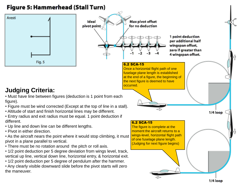#### Figure 5: Hammerhead (Stall Turn)

Ideal

pivot point-



### **Judging Criteria:**

- Must have line between figures (deduction is 1 point from each figure).
- Figure must be wind corrected (Except at the top of line in a stall).
- Altitude of start and finish horizontal lines may be different.
- Entry radius and exit radius must be equal. 1 point deduction if different.
- Up line and down line can be different lengths.
- Pivot in either direction.
- As the aircraft nears the point where it would stop climbing, it must pivot in a plane parallel to vertical.
- There must be no rotation around the pitch or roll axis.
- 1/2 point deduction per 5 degree deviation from wings level, track, vertical up line, vertical down line, horizontal entry, & horizontal exit.
- 1/2 point deduction per 5 degree of pendulum after the hammer.
- Any clearly visible downward slide before the pivot starts will zero the maneuver.

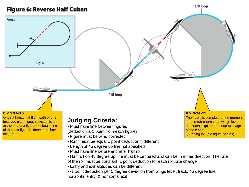

horizontal entry, & horizontal exit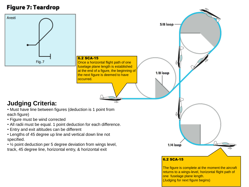#### **Figure 7: Teardrop**

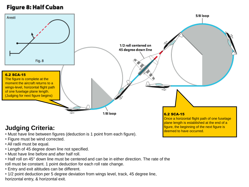#### **Figure 8: Half Cuban**



### **Judging Criteria:**

- Must have line between figures (deduction is 1 point from each figure).
- Figure must be wind corrected.
- All radii must be equal.
- Length of 45 degree down line not specified.
- Must have line before and after half roll.
- Half roll on 45° down line must be centered and can be in either direction. The rate of the roll must be constant. 1 point deduction for each roll rate change.
- Entry and exit altitudes can be different.
- 1/2 point deduction per 5 degree deviation from wings level, track, 45 degree line, horizontal entry, & horizontal exit.

plane length is established at the end of a figure, the beginning of the next figure is deemed to have occurred.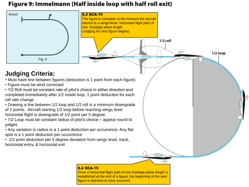### Figure 9: Immelmann (Half inside loop with half roll exit)



established at the end of a figure, the beginning of the next figure is deemed to have occurred.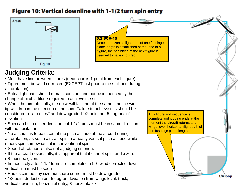#### Figure 10: Vertical downline with 1-1/2 turn spin entry



6.2 SCA-15 Once a horizontal flight path of one fuselage plane length is established at the end of a figure, the beginning of the next figure is deemed to have occurred.

- **Judging Criteria:**<br>• Must have line between figures (deduction is 1 point from each figure)<br>• Figure must be wind corrected (EXCEPT just prior to the stall and during • Must have line between figures (deduction is 1 point from each figure)
- autorotation)
- Entry flight path should remain constant and not be influenced by the change of pitch attitude required to achieve the stall
- When the aircraft stalls, the nose will fall and at the same time the wing tip will drop in the direction of the spin. Failure to achieve this should be considered a "late entry" and downgraded 1/2 point per 5 degrees of deviation.
- Spin can be in either direction but 1 1/2 turns must be in same direction with no hesitation
- No account is to be taken of the pitch attitude of the aircraft during autorotation, as some aircraft spin in a nearly vertical pitch attitude while others spin somewhat flat in conventional spins.
- Speed of rotation is also not a judging criterion.
- If the aircraft never stalls, it is apparent that it cannot spin, and a zero (0) must be given.
- Immediately after 1 1/2 turns are completed a 90° wind corrected down vertical line must be seen
- Radius can be any size but sharp corner must be downgraded
- 1/2 point deduction per 5 degree deviation from wings level, track, vertical down line, horizontal entry, & horizontal exit

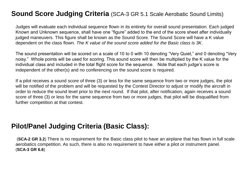### **Sound Score Judging Criteria** (SCA-3 GR 5.1 Scale Aerobatic Sound Limits)

Judges will evaluate each individual sequence flown in its entirety for overall sound presentation. Each judged Known and Unknown sequence, shall have one "figure" added to the end of the score sheet after individually judged maneuvers. This figure shall be known as the Sound Score. The Sound Score will have a K value dependent on the class flown. *The K value of the sound score added for the Basic class is 3K*.

The sound presentation will be scored on a scale of 10 to 0 with 10 denoting "Very Quiet," and 0 denoting "Very noisy." Whole points will be used for scoring. This sound score will then be multiplied by the K value for the individual class and included in the total flight score for the sequence. Note that each judge's score is independent of the other(s) and no conferencing on the sound score is required.

a sound score of three (3) or less for the same sequence from two or more<br>he problem and will be requested by the Contest Director to adjust or more If a pilot receives a sound score of three (3) or less for the same sequence from two or more judges, the pilot will be notified of the problem and will be requested by the Contest Director to adjust or modify the aircraft in order to reduce the sound level prior to the next round. If that pilot, after notification, again receives a sound score of three (3) or less for the same sequence from two or more judges, that pilot will be disqualified from further competition at that contest.

### **Pilot/Panel Judging Criteria (Basic Class):**

(**SCA-2 GR 3.2**) There is no requirement for the Basic class pilot to have an airplane that has flown in full scale aerobatics competition. As such, there is also no requirement to have either a pilot or instrument panel. (**SCA-3 GR 6.6**)